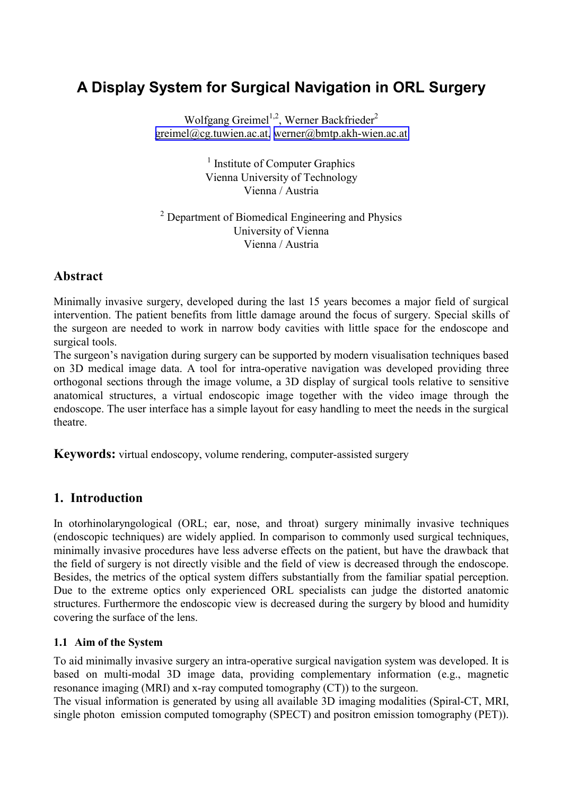# **A Display System for Surgical Navigation in ORL Surgery**

Wolfgang Greimel<sup>1,2</sup>, Werner Backfrieder<sup>2</sup> [greimel@cg.tuwien.ac.at,](mailto:greimel@cg.tuwien.ac.at) [werner@bmtp.akh-wien.ac.at](mailto:werner@bmtp.akh-wien.ac.at)

> <sup>1</sup> Institute of Computer Graphics Vienna University of Technology Vienna / Austria

<sup>2</sup> Department of Biomedical Engineering and Physics University of Vienna Vienna / Austria

# **Abstract**

Minimally invasive surgery, developed during the last 15 years becomes a major field of surgical intervention. The patient benefits from little damage around the focus of surgery. Special skills of the surgeon are needed to work in narrow body cavities with little space for the endoscope and surgical tools.

The surgeon's navigation during surgery can be supported by modern visualisation techniques based on 3D medical image data. A tool for intra-operative navigation was developed providing three orthogonal sections through the image volume, a 3D display of surgical tools relative to sensitive anatomical structures, a virtual endoscopic image together with the video image through the endoscope. The user interface has a simple layout for easy handling to meet the needs in the surgical theatre.

**Keywords:** virtual endoscopy, volume rendering, computer-assisted surgery

# **1. Introduction**

In otorhinolaryngological (ORL; ear, nose, and throat) surgery minimally invasive techniques (endoscopic techniques) are widely applied. In comparison to commonly used surgical techniques, minimally invasive procedures have less adverse effects on the patient, but have the drawback that the field of surgery is not directly visible and the field of view is decreased through the endoscope. Besides, the metrics of the optical system differs substantially from the familiar spatial perception. Due to the extreme optics only experienced ORL specialists can judge the distorted anatomic structures. Furthermore the endoscopic view is decreased during the surgery by blood and humidity covering the surface of the lens.

### **1.1 Aim of the System**

To aid minimally invasive surgery an intra-operative surgical navigation system was developed. It is based on multi-modal 3D image data, providing complementary information (e.g., magnetic resonance imaging (MRI) and x-ray computed tomography (CT)) to the surgeon.

The visual information is generated by using all available 3D imaging modalities (Spiral-CT, MRI, single photon emission computed tomography (SPECT) and positron emission tomography (PET)).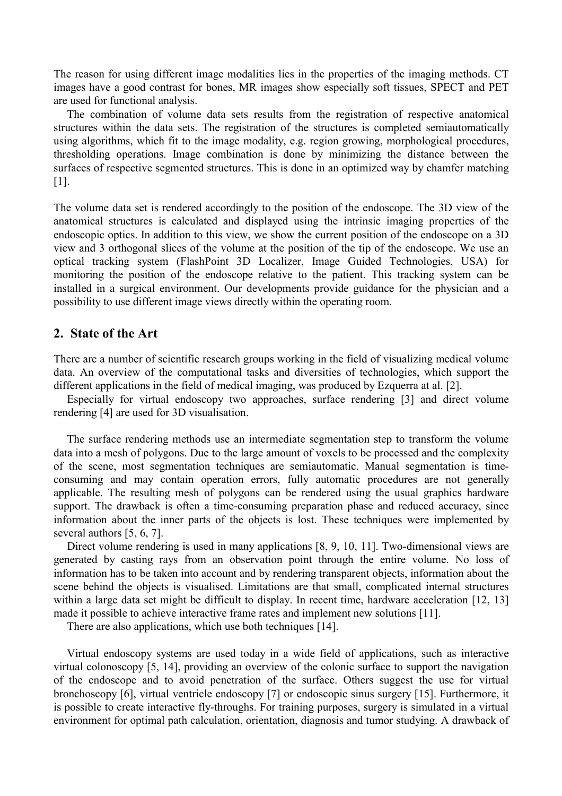The reason for using different image modalities lies in the properties of the imaging methods. CT images have a good contrast for bones, MR images show especially soft tissues, SPECT and PET are used for functional analysis.

The combination of volume data sets results from the registration of respective anatomical structures within the data sets. The registration of the structures is completed semiautomatically using algorithms, which fit to the image modality, e.g. region growing, morphological procedures, thresholding operations. Image combination is done by minimizing the distance between the surfaces of respective segmented structures. This is done in an optimized way by chamfer matching [1].

The volume data set is rendered accordingly to the position of the endoscope. The 3D view of the anatomical structures is calculated and displayed using the intrinsic imaging properties of the endoscopic optics. In addition to this view, we show the current position of the endoscope on a 3D view and 3 orthogonal slices of the volume at the position of the tip of the endoscope. We use an optical tracking system (FlashPoint 3D Localizer, Image Guided Technologies, USA) for monitoring the position of the endoscope relative to the patient. This tracking system can be installed in a surgical environment. Our developments provide guidance for the physician and a possibility to use different image views directly within the operating room.

### **2. State of the Art**

There are a number of scientific research groups working in the field of visualizing medical volume data. An overview of the computational tasks and diversities of technologies, which support the different applications in the field of medical imaging, was produced by Ezquerra at al. [2].

Especially for virtual endoscopy two approaches, surface rendering [3] and direct volume rendering [4] are used for 3D visualisation.

The surface rendering methods use an intermediate segmentation step to transform the volume data into a mesh of polygons. Due to the large amount of voxels to be processed and the complexity of the scene, most segmentation techniques are semiautomatic. Manual segmentation is timeconsuming and may contain operation errors, fully automatic procedures are not generally applicable. The resulting mesh of polygons can be rendered using the usual graphics hardware support. The drawback is often a time-consuming preparation phase and reduced accuracy, since information about the inner parts of the objects is lost. These techniques were implemented by several authors [5, 6, 7].

Direct volume rendering is used in many applications [8, 9, 10, 11]. Two-dimensional views are generated by casting rays from an observation point through the entire volume. No loss of information has to be taken into account and by rendering transparent objects, information about the scene behind the objects is visualised. Limitations are that small, complicated internal structures within a large data set might be difficult to display. In recent time, hardware acceleration [12, 13] made it possible to achieve interactive frame rates and implement new solutions [11].

There are also applications, which use both techniques [14].

Virtual endoscopy systems are used today in a wide field of applications, such as interactive virtual colonoscopy [5, 14], providing an overview of the colonic surface to support the navigation of the endoscope and to avoid penetration of the surface. Others suggest the use for virtual bronchoscopy [6], virtual ventricle endoscopy [7] or endoscopic sinus surgery [15]. Furthermore, it is possible to create interactive fly-throughs. For training purposes, surgery is simulated in a virtual environment for optimal path calculation, orientation, diagnosis and tumor studying. A drawback of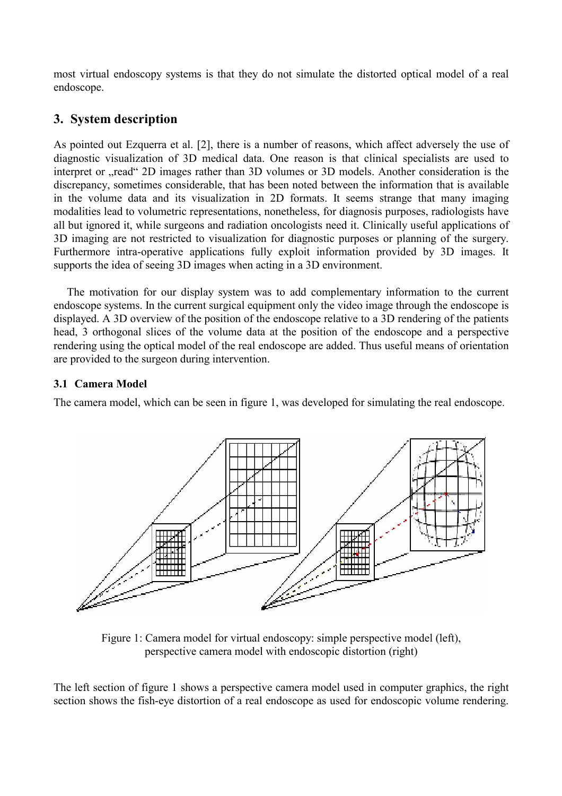most virtual endoscopy systems is that they do not simulate the distorted optical model of a real endoscope.

# **3. System description**

As pointed out Ezquerra et al. [2], there is a number of reasons, which affect adversely the use of diagnostic visualization of 3D medical data. One reason is that clinical specialists are used to interpret or ...read <sup>ov</sup> 2D images rather than 3D volumes or 3D models. Another consideration is the discrepancy, sometimes considerable, that has been noted between the information that is available in the volume data and its visualization in 2D formats. It seems strange that many imaging modalities lead to volumetric representations, nonetheless, for diagnosis purposes, radiologists have all but ignored it, while surgeons and radiation oncologists need it. Clinically useful applications of 3D imaging are not restricted to visualization for diagnostic purposes or planning of the surgery. Furthermore intra-operative applications fully exploit information provided by 3D images. It supports the idea of seeing 3D images when acting in a 3D environment.

The motivation for our display system was to add complementary information to the current endoscope systems. In the current surgical equipment only the video image through the endoscope is displayed. A 3D overview of the position of the endoscope relative to a 3D rendering of the patients head, 3 orthogonal slices of the volume data at the position of the endoscope and a perspective rendering using the optical model of the real endoscope are added. Thus useful means of orientation are provided to the surgeon during intervention.

### **3.1 Camera Model**

The camera model, which can be seen in figure 1, was developed for simulating the real endoscope.



Figure 1: Camera model for virtual endoscopy: simple perspective model (left), perspective camera model with endoscopic distortion (right)

The left section of figure 1 shows a perspective camera model used in computer graphics, the right section shows the fish-eye distortion of a real endoscope as used for endoscopic volume rendering.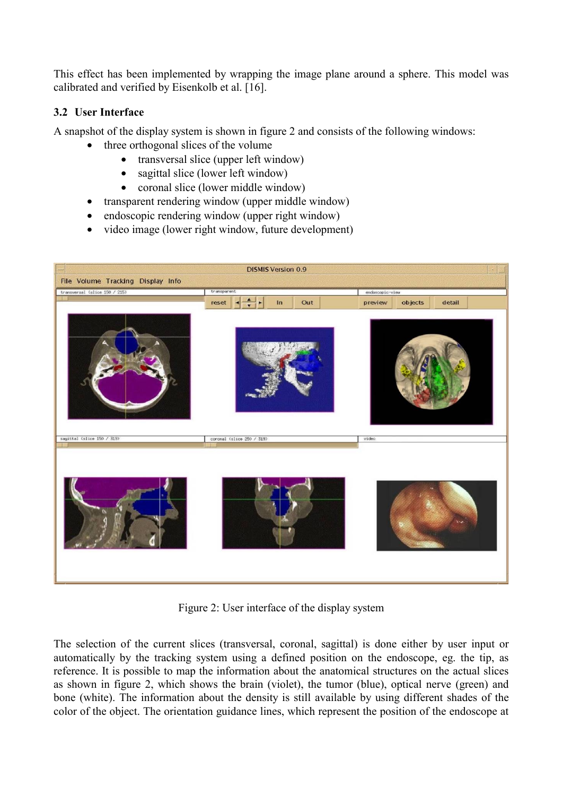This effect has been implemented by wrapping the image plane around a sphere. This model was calibrated and verified by Eisenkolb et al. [16].

### **3.2 User Interface**

A snapshot of the display system is shown in figure 2 and consists of the following windows:

- three orthogonal slices of the volume
	- transversal slice (upper left window)
	- sagittal slice (lower left window)
	- coronal slice (lower middle window)
- transparent rendering window (upper middle window)
- endoscopic rendering window (upper right window)
- video image (lower right window, future development)



Figure 2: User interface of the display system

The selection of the current slices (transversal, coronal, sagittal) is done either by user input or automatically by the tracking system using a defined position on the endoscope, eg. the tip, as reference. It is possible to map the information about the anatomical structures on the actual slices as shown in figure 2, which shows the brain (violet), the tumor (blue), optical nerve (green) and bone (white). The information about the density is still available by using different shades of the color of the object. The orientation guidance lines, which represent the position of the endoscope at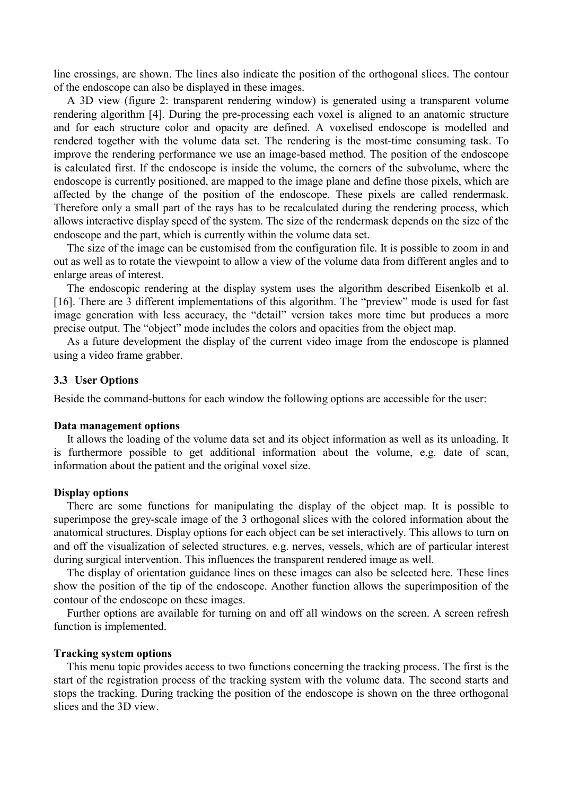line crossings, are shown. The lines also indicate the position of the orthogonal slices. The contour of the endoscope can also be displayed in these images.

A 3D view (figure 2: transparent rendering window) is generated using a transparent volume rendering algorithm [4]. During the pre-processing each voxel is aligned to an anatomic structure and for each structure color and opacity are defined. A voxelised endoscope is modelled and rendered together with the volume data set. The rendering is the most-time consuming task. To improve the rendering performance we use an image-based method. The position of the endoscope is calculated first. If the endoscope is inside the volume, the corners of the subvolume, where the endoscope is currently positioned, are mapped to the image plane and define those pixels, which are affected by the change of the position of the endoscope. These pixels are called rendermask. Therefore only a small part of the rays has to be recalculated during the rendering process, which allows interactive display speed of the system. The size of the rendermask depends on the size of the endoscope and the part, which is currently within the volume data set.

The size of the image can be customised from the configuration file. It is possible to zoom in and out as well as to rotate the viewpoint to allow a view of the volume data from different angles and to enlarge areas of interest.

The endoscopic rendering at the display system uses the algorithm described Eisenkolb et al. [16]. There are 3 different implementations of this algorithm. The "preview" mode is used for fast image generation with less accuracy, the "detail" version takes more time but produces a more precise output. The "object" mode includes the colors and opacities from the object map.

As a future development the display of the current video image from the endoscope is planned using a video frame grabber.

#### **3.3 User Options**

Beside the command-buttons for each window the following options are accessible for the user:

#### **Data management options**

It allows the loading of the volume data set and its object information as well as its unloading. It is furthermore possible to get additional information about the volume, e.g. date of scan, information about the patient and the original voxel size.

#### **Display options**

There are some functions for manipulating the display of the object map. It is possible to superimpose the grey-scale image of the 3 orthogonal slices with the colored information about the anatomical structures. Display options for each object can be set interactively. This allows to turn on and off the visualization of selected structures, e.g. nerves, vessels, which are of particular interest during surgical intervention. This influences the transparent rendered image as well.

The display of orientation guidance lines on these images can also be selected here. These lines show the position of the tip of the endoscope. Another function allows the superimposition of the contour of the endoscope on these images.

Further options are available for turning on and off all windows on the screen. A screen refresh function is implemented.

#### **Tracking system options**

This menu topic provides access to two functions concerning the tracking process. The first is the start of the registration process of the tracking system with the volume data. The second starts and stops the tracking. During tracking the position of the endoscope is shown on the three orthogonal slices and the 3D view.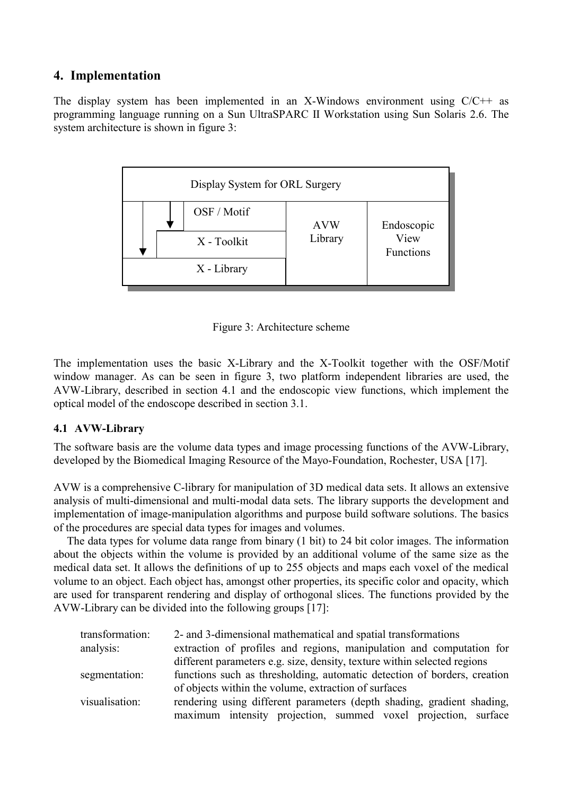# **4. Implementation**

The display system has been implemented in an X-Windows environment using C/C++ as programming language running on a Sun UltraSPARC II Workstation using Sun Solaris 2.6. The system architecture is shown in figure 3:





The implementation uses the basic X-Library and the X-Toolkit together with the OSF/Motif window manager. As can be seen in figure 3, two platform independent libraries are used, the AVW-Library, described in section 4.1 and the endoscopic view functions, which implement the optical model of the endoscope described in section 3.1.

### **4.1 AVW-Library**

The software basis are the volume data types and image processing functions of the AVW-Library, developed by the Biomedical Imaging Resource of the Mayo-Foundation, Rochester, USA [17].

AVW is a comprehensive C-library for manipulation of 3D medical data sets. It allows an extensive analysis of multi-dimensional and multi-modal data sets. The library supports the development and implementation of image-manipulation algorithms and purpose build software solutions. The basics of the procedures are special data types for images and volumes.

The data types for volume data range from binary (1 bit) to 24 bit color images. The information about the objects within the volume is provided by an additional volume of the same size as the medical data set. It allows the definitions of up to 255 objects and maps each voxel of the medical volume to an object. Each object has, amongst other properties, its specific color and opacity, which are used for transparent rendering and display of orthogonal slices. The functions provided by the AVW-Library can be divided into the following groups [17]:

| transformation: | 2- and 3-dimensional mathematical and spatial transformations            |
|-----------------|--------------------------------------------------------------------------|
| analysis:       | extraction of profiles and regions, manipulation and computation for     |
|                 | different parameters e.g. size, density, texture within selected regions |
| segmentation:   | functions such as thresholding, automatic detection of borders, creation |
|                 | of objects within the volume, extraction of surfaces                     |
| visualisation:  | rendering using different parameters (depth shading, gradient shading,   |
|                 | maximum intensity projection, summed voxel projection, surface           |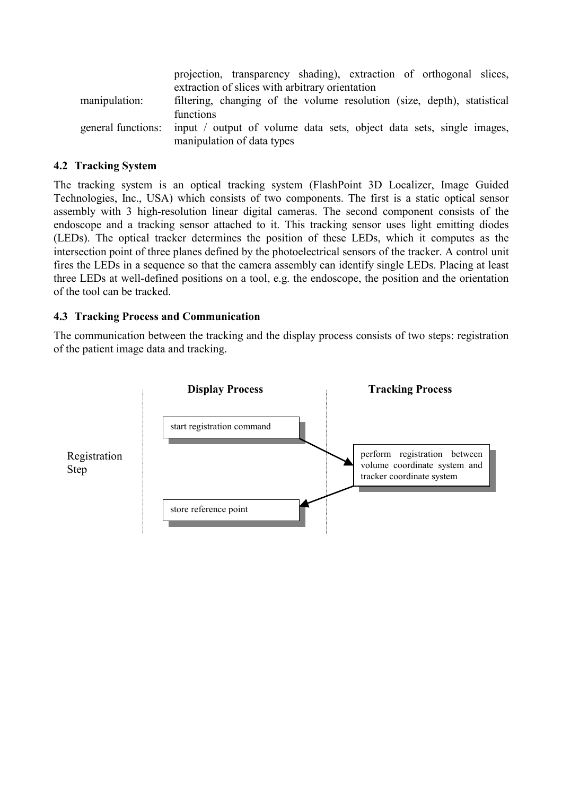|                    | projection, transparency shading), extraction of orthogonal slices,                                |
|--------------------|----------------------------------------------------------------------------------------------------|
|                    | extraction of slices with arbitrary orientation                                                    |
| manipulation:      | filtering, changing of the volume resolution (size, depth), statistical                            |
|                    | functions                                                                                          |
| general functions: | input / output of volume data sets, object data sets, single images,<br>manipulation of data types |

### **4.2 Tracking System**

The tracking system is an optical tracking system (FlashPoint 3D Localizer, Image Guided Technologies, Inc., USA) which consists of two components. The first is a static optical sensor assembly with 3 high-resolution linear digital cameras. The second component consists of the endoscope and a tracking sensor attached to it. This tracking sensor uses light emitting diodes (LEDs). The optical tracker determines the position of these LEDs, which it computes as the intersection point of three planes defined by the photoelectrical sensors of the tracker. A control unit fires the LEDs in a sequence so that the camera assembly can identify single LEDs. Placing at least three LEDs at well-defined positions on a tool, e.g. the endoscope, the position and the orientation of the tool can be tracked.

### **4.3 Tracking Process and Communication**

The communication between the tracking and the display process consists of two steps: registration of the patient image data and tracking.

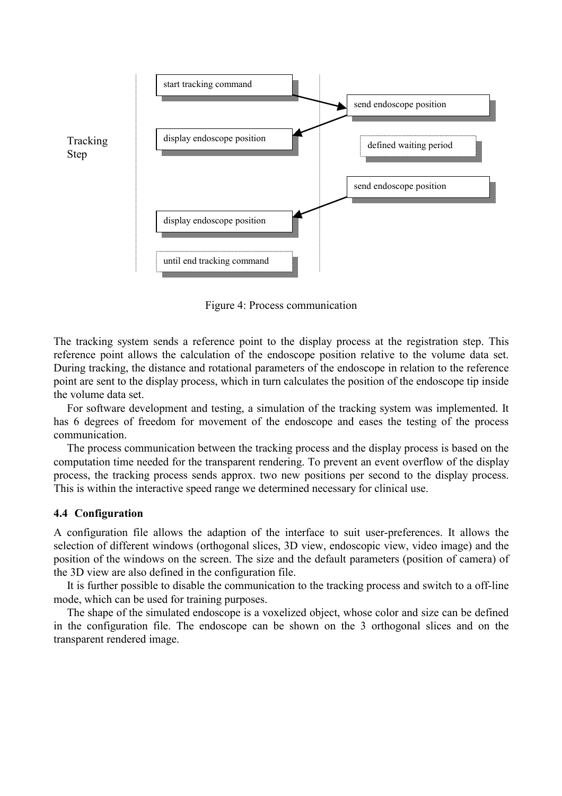

Figure 4: Process communication

The tracking system sends a reference point to the display process at the registration step. This reference point allows the calculation of the endoscope position relative to the volume data set. During tracking, the distance and rotational parameters of the endoscope in relation to the reference point are sent to the display process, which in turn calculates the position of the endoscope tip inside the volume data set.

For software development and testing, a simulation of the tracking system was implemented. It has 6 degrees of freedom for movement of the endoscope and eases the testing of the process communication.

The process communication between the tracking process and the display process is based on the computation time needed for the transparent rendering. To prevent an event overflow of the display process, the tracking process sends approx. two new positions per second to the display process. This is within the interactive speed range we determined necessary for clinical use.

#### **4.4 Configuration**

A configuration file allows the adaption of the interface to suit user-preferences. It allows the selection of different windows (orthogonal slices, 3D view, endoscopic view, video image) and the position of the windows on the screen. The size and the default parameters (position of camera) of the 3D view are also defined in the configuration file.

It is further possible to disable the communication to the tracking process and switch to a off-line mode, which can be used for training purposes.

The shape of the simulated endoscope is a voxelized object, whose color and size can be defined in the configuration file. The endoscope can be shown on the 3 orthogonal slices and on the transparent rendered image.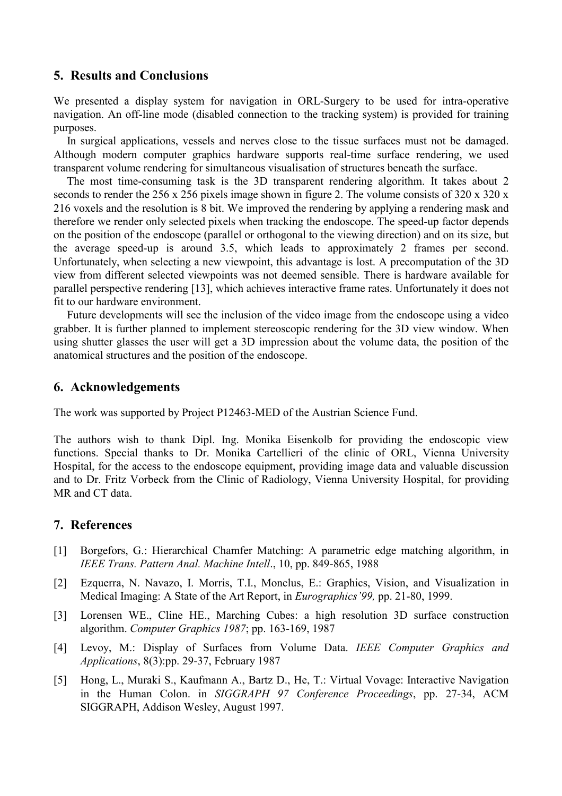### **5. Results and Conclusions**

We presented a display system for navigation in ORL-Surgery to be used for intra-operative navigation. An off-line mode (disabled connection to the tracking system) is provided for training purposes.

In surgical applications, vessels and nerves close to the tissue surfaces must not be damaged. Although modern computer graphics hardware supports real-time surface rendering, we used transparent volume rendering for simultaneous visualisation of structures beneath the surface.

The most time-consuming task is the 3D transparent rendering algorithm. It takes about 2 seconds to render the 256 x 256 pixels image shown in figure 2. The volume consists of 320 x 320 x 216 voxels and the resolution is 8 bit. We improved the rendering by applying a rendering mask and therefore we render only selected pixels when tracking the endoscope. The speed-up factor depends on the position of the endoscope (parallel or orthogonal to the viewing direction) and on its size, but the average speed-up is around 3.5, which leads to approximately 2 frames per second. Unfortunately, when selecting a new viewpoint, this advantage is lost. A precomputation of the 3D view from different selected viewpoints was not deemed sensible. There is hardware available for parallel perspective rendering [13], which achieves interactive frame rates. Unfortunately it does not fit to our hardware environment.

Future developments will see the inclusion of the video image from the endoscope using a video grabber. It is further planned to implement stereoscopic rendering for the 3D view window. When using shutter glasses the user will get a 3D impression about the volume data, the position of the anatomical structures and the position of the endoscope.

### **6. Acknowledgements**

The work was supported by Project P12463-MED of the Austrian Science Fund.

The authors wish to thank Dipl. Ing. Monika Eisenkolb for providing the endoscopic view functions. Special thanks to Dr. Monika Cartellieri of the clinic of ORL, Vienna University Hospital, for the access to the endoscope equipment, providing image data and valuable discussion and to Dr. Fritz Vorbeck from the Clinic of Radiology, Vienna University Hospital, for providing MR and CT data.

### **7. References**

- [1] Borgefors, G.: Hierarchical Chamfer Matching: A parametric edge matching algorithm, in *IEEE Trans. Pattern Anal. Machine Intell*., 10, pp. 849-865, 1988
- [2] Ezquerra, N. Navazo, I. Morris, T.I., Monclus, E.: Graphics, Vision, and Visualization in Medical Imaging: A State of the Art Report, in *Eurographics'99,* pp. 21-80, 1999.
- [3] Lorensen WE., Cline HE., Marching Cubes: a high resolution 3D surface construction algorithm. *Computer Graphics 1987*; pp. 163-169, 1987
- [4] Levoy, M.: Display of Surfaces from Volume Data. *IEEE Computer Graphics and Applications*, 8(3):pp. 29-37, February 1987
- [5] Hong, L., Muraki S., Kaufmann A., Bartz D., He, T.: Virtual Vovage: Interactive Navigation in the Human Colon. in *SIGGRAPH 97 Conference Proceedings*, pp. 27-34, ACM SIGGRAPH, Addison Wesley, August 1997.